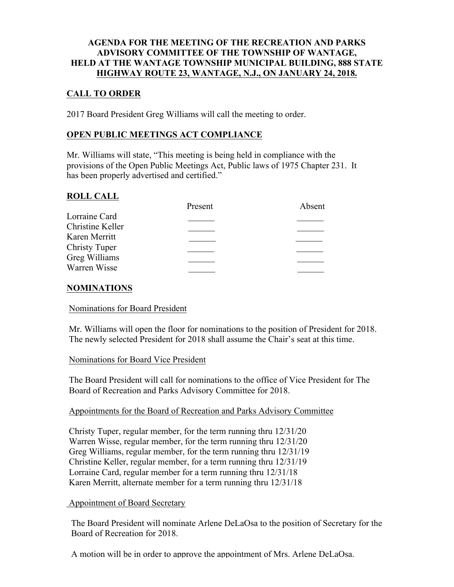### **AGENDA FOR THE MEETING OF THE RECREATION AND PARKS ADVISORY COMMITTEE OF THE TOWNSHIP OF WANTAGE, HELD AT THE WANTAGE TOWNSHIP MUNICIPAL BUILDING, 888 STATE HIGHWAY ROUTE 23, WANTAGE, N.J., ON JANUARY 24, 2018.**

# **CALL TO ORDER**

2017 Board President Greg Williams will call the meeting to order.

## **OPEN PUBLIC MEETINGS ACT COMPLIANCE**

Mr. Williams will state, "This meeting is being held in compliance with the provisions of the Open Public Meetings Act, Public laws of 1975 Chapter 231. It has been properly advertised and certified."

### **ROLL CALL**

|                      | Present | Absent |
|----------------------|---------|--------|
| Lorraine Card        |         |        |
| Christine Keller     |         |        |
| Karen Merritt        |         |        |
| <b>Christy Tuper</b> |         |        |
| Greg Williams        |         |        |
| Warren Wisse         |         |        |
|                      |         |        |

### **NOMINATIONS**

### Nominations for Board President

Mr. Williams will open the floor for nominations to the position of President for 2018. The newly selected President for 2018 shall assume the Chair's seat at this time.

### Nominations for Board Vice President

The Board President will call for nominations to the office of Vice President for The Board of Recreation and Parks Advisory Committee for 2018.

### Appointments for the Board of Recreation and Parks Advisory Committee

Christy Tuper, regular member, for the term running thru 12/31/20 Warren Wisse, regular member, for the term running thru 12/31/20 Greg Williams, regular member, for the term running thru 12/31/19 Christine Keller, regular member, for a term running thru 12/31/19 Lorraine Card, regular member for a term running thru 12/31/18 Karen Merritt, alternate member for a term running thru 12/31/18

### Appointment of Board Secretary

The Board President will nominate Arlene DeLaOsa to the position of Secretary for the Board of Recreation for 2018.

A motion will be in order to approve the appointment of Mrs. Arlene DeLaOsa.